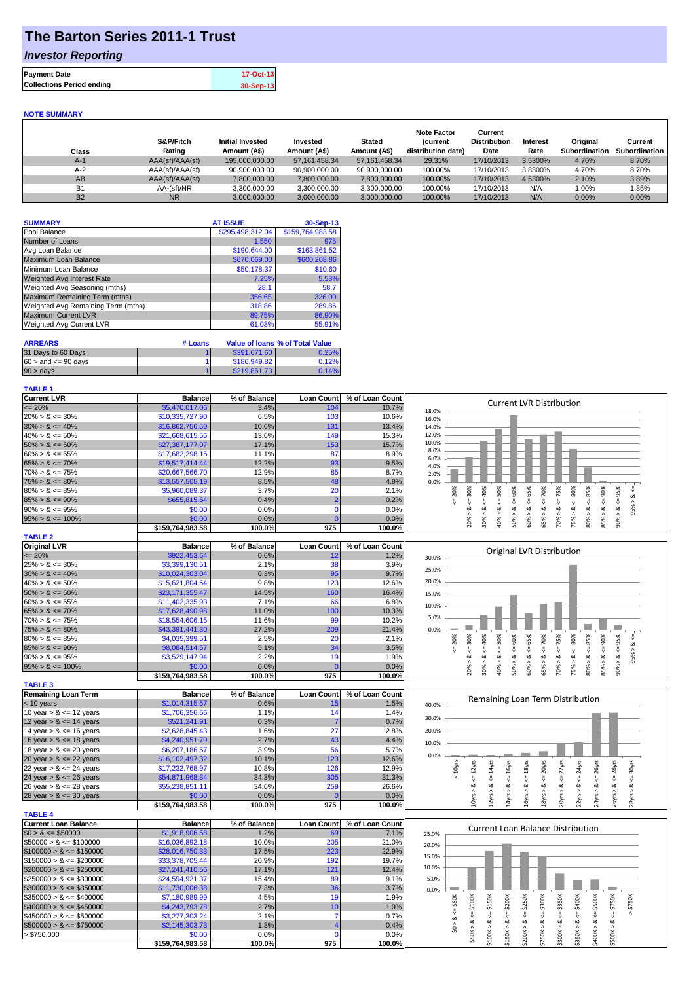# **The Barton Series 2011-1 Trust**

## *Investor Reporting*

| <b>Payment Date</b>              | 17-Oct-13 |
|----------------------------------|-----------|
| <b>Collections Period ending</b> | 30-Sep-13 |

#### **NOTE SUMMARY**

| Class          | S&P/Fitch<br>Rating | Initial Invested<br>Amount (A\$) | Invested<br>Amount (A\$) | <b>Stated</b><br>Amount (A\$) | <b>Note Factor</b><br><b>Current</b><br>distribution date) | Current<br><b>Distribution</b><br>Date | <b>Interest</b><br>Rate | Original<br>Subordination | Current<br><b>Subordination</b> |
|----------------|---------------------|----------------------------------|--------------------------|-------------------------------|------------------------------------------------------------|----------------------------------------|-------------------------|---------------------------|---------------------------------|
| $A-1$          | AAA(sf)/AAA(sf)     | 195.000.000.00                   | 57.161.458.34            | 57.161.458.34                 | 29.31%                                                     | 17/10/2013                             | 3.5300%                 | 4.70%                     | 8.70%                           |
| $A-2$          | AAA(sf)/AAA(sf)     | 90.900.000.00                    | 90.900.000.00            | 90.900.000.00                 | 100.00%                                                    | 17/10/2013                             | 3.8300%                 | 4.70%                     | 8.70%                           |
| AB             | AAA(sf)/AAA(sf)     | 7,800,000.00                     | 7,800,000.00             | 7,800,000.00                  | 100.00%                                                    | 17/10/2013                             | 4.5300%                 | 2.10%                     | 3.89%                           |
| B <sub>1</sub> | AA-(sf)/NR          | 3.300.000.00                     | 3,300,000.00             | 3.300.000.00                  | 100.00%                                                    | 17/10/2013                             | N/A                     | 1.00%                     | .85%                            |
| <b>B2</b>      | <b>NR</b>           | 3.000.000.00                     | 3.000.000.00             | 3.000.000.00                  | 100.00%                                                    | 17/10/2013                             | N/A                     | 0.00%                     | $0.00\%$                        |

| <b>SUMMARY</b>                     | <b>AT ISSUE</b>  | 30-Sep-13        |
|------------------------------------|------------------|------------------|
| Pool Balance                       | \$295,498,312.04 | \$159,764,983.58 |
| Number of Loans                    | 1,550            | 975              |
| Avg Loan Balance                   | \$190,644.00     | \$163,861.52     |
| Maximum Loan Balance               | \$670,069.00     | \$600,208.86     |
| Minimum Loan Balance               | \$50,178.37      | \$10.60          |
| <b>Weighted Avg Interest Rate</b>  | 7.25%            | 5.58%            |
| Weighted Avg Seasoning (mths)      | 28.1             | 58.7             |
| Maximum Remaining Term (mths)      | 356.65           | 326.00           |
| Weighted Avg Remaining Term (mths) | 318.86           | 289.86           |
| <b>Maximum Current LVR</b>         | 89.75%           | 86.90%           |
| <b>Weighted Avg Current LVR</b>    | 61.03%           | 55.91%           |

| <b>ARREARS</b>            | # Loans |              | Value of Ioans % of Total Value |
|---------------------------|---------|--------------|---------------------------------|
| 31 Days to 60 Days        |         | \$391.671.60 | 0.25%                           |
| $60 >$ and $\leq 90$ davs |         | \$186,949.82 | 0.12%                           |
| $90 > \text{days}$        |         | \$219,861.73 | 0.14%                           |

### **TABLE 1**

| <b>Current LVR</b>         | <b>Balance</b>   | % of Balance | Loan Count        | % of Loan Count |              |            |     |                |     | <b>Current LVR Distribution</b>  |     |        |     |                                  |     |               |          |  |
|----------------------------|------------------|--------------|-------------------|-----------------|--------------|------------|-----|----------------|-----|----------------------------------|-----|--------|-----|----------------------------------|-----|---------------|----------|--|
| $= 20%$                    | \$5,470,017.06   | 3.4%         | 104               | 10.7%           | 18.0%        |            |     |                |     |                                  |     |        |     |                                  |     |               |          |  |
| $20\% > 8 \le 30\%$        | \$10,335,727.90  | 6.5%         | 103               | 10.6%           | 16.0%        |            |     |                |     |                                  |     |        |     |                                  |     |               |          |  |
| $30\% > 8 \le 40\%$        | \$16,862,756.50  | 10.6%        | 131               | 13.4%           | 14.0%        |            |     |                |     |                                  |     |        |     |                                  |     |               |          |  |
| $40\% > 8 \le 50\%$        | \$21,668,615.56  | 13.6%        | 149               | 15.3%           | 12.0%        |            |     |                |     |                                  |     |        |     |                                  |     |               |          |  |
| $50\% > 8 \le 60\%$        | \$27,387,177,07  | 17.1%        | 153               | 15.7%           | 10.0%        |            |     |                |     |                                  |     |        |     |                                  |     |               |          |  |
| $60\% > 8 \le 65\%$        | \$17,682,298.15  | 11.1%        | 87                | 8.9%            | 8.0%<br>6.0% |            |     |                |     |                                  |     |        |     |                                  |     |               |          |  |
| $65\% > 8 \le 70\%$        | \$19,517,414.44  | 12.2%        | 93                | 9.5%            | 4.0%         |            |     |                |     |                                  |     |        |     |                                  |     |               |          |  |
| $70\% > 8 \le 75\%$        | \$20,667,566.70  | 12.9%        | 85                | 8.7%            | 2.0%         |            |     |                |     |                                  |     |        |     |                                  |     |               |          |  |
| $75\% > 8 \le 80\%$        | \$13,557,505.19  | 8.5%         | 48                | 4.9%            | 0.0%         |            |     |                |     |                                  |     |        |     |                                  |     |               |          |  |
| $80\% > 8 \le 85\%$        | \$5,960,089.37   | 3.7%         | 20                | 2.1%            |              | 30%        | 40% | 50%            | 60% | 65%                              | 70% | 75%    | 80% | 85%                              | 90% | 95%           | ಂಶ       |  |
| $85\% > 8 \le 90\%$        | \$655,815,64     | 0.4%         |                   | 0.2%            |              |            |     |                |     |                                  |     |        |     |                                  |     | ₩             | $\wedge$ |  |
| $90\% > 8 \le 95\%$        | \$0.00           | 0.0%         | C                 | 0.0%            |              |            |     | ಂಶ<br>$\wedge$ | ಷ   | ∞<br>$\wedge$                    | ∝   | ಷ<br>Λ | ∝   | ∞<br>$\wedge$                    | ಂಶ  | ಹ<br>$\wedge$ | 95%      |  |
| $95\% > 8 \le 100\%$       | \$0.00           | 0.0%         | $\Omega$          | 0.0%            |              |            | 30% | 40%            | 50% | 60%                              | 65% | 70%    | 75% | 80%                              | 85% | 90%           |          |  |
|                            | \$159,764,983.58 | 100.0%       | 975               | 100.0%          |              |            |     |                |     |                                  |     |        |     |                                  |     |               |          |  |
| <b>TABLE 2</b>             |                  |              |                   |                 |              |            |     |                |     |                                  |     |        |     |                                  |     |               |          |  |
| <b>Original LVR</b>        | <b>Balance</b>   | % of Balance | <b>Loan Count</b> | % of Loan Count |              |            |     |                |     | <b>Original LVR Distribution</b> |     |        |     |                                  |     |               |          |  |
| $= 20%$                    | \$922,453.64     | 0.6%         | 12                | 1.2%            | 30.0%        |            |     |                |     |                                  |     |        |     |                                  |     |               |          |  |
| $25\% > 8 \le 30\%$        | \$3,399,130.51   | 2.1%         | 38                | 3.9%            | 25.0%        |            |     |                |     |                                  |     |        |     |                                  |     |               |          |  |
| $30\% > 8 \le 40\%$        | \$10,024,303.04  | 6.3%         | 95                | 9.7%            |              |            |     |                |     |                                  |     |        |     |                                  |     |               |          |  |
| $40\% > 8 \le 50\%$        | \$15,621,804.54  | 9.8%         | 123               | 12.6%           | 20.0%        |            |     |                |     |                                  |     |        |     |                                  |     |               |          |  |
| $50\% > 8 \le 60\%$        | \$23,171,355.47  | 14.5%        | 160               | 16.4%           | 15.0%        |            |     |                |     |                                  |     |        |     |                                  |     |               |          |  |
| $60\% > 8 \le 65\%$        | \$11,402,335.93  | 7.1%         | 66                | 6.8%            | 10.0%        |            |     |                |     |                                  |     |        |     |                                  |     |               |          |  |
| $65\% > 8 \le 70\%$        | \$17,628,490.98  | 11.0%        | 100               | 10.3%           |              |            |     |                |     |                                  |     |        |     |                                  |     |               |          |  |
| $70\% > 8 \le 75\%$        | \$18,554,606.15  | 11.6%        | 99                | 10.2%           | 5.0%         |            |     |                |     |                                  |     |        |     |                                  |     |               |          |  |
| $75\% > 8 \le 80\%$        | \$43,391,441.30  | 27.2%        | 209               | 21.4%           | 0.0%         |            |     |                |     |                                  |     |        |     |                                  |     |               |          |  |
| $80\% > 8 \le 85\%$        | \$4,035,399.51   | 2.5%         | 20                | 2.1%            |              | 30%<br>20% | 40% | 50%            | 60% | 65%                              | 70% | 75%    | 80% | 85%                              | 90% | 95%           | ಂಶ       |  |
| $85\% > 8 \le 90\%$        | \$8,084,514.57   | 5.1%         | 34                | 3.5%            |              |            |     | $\mathbf{u}$   |     |                                  |     |        |     |                                  |     |               |          |  |
| $90\% > 8 \le 95\%$        | \$3,529,147.94   | 2.2%         | 19                | 1.9%            |              |            | ∞   | œ<br>$\wedge$  | ∞   | œ<br>Λ                           |     | οă     | ∞   | ∞                                | ಂಶ  | ∞<br>$\wedge$ | 95%      |  |
| $95\% > 8 \le 100\%$       | \$0.00           | 0.0%         | $\Omega$          | 0.0%            |              | 20%        | 30% | 40%            | 50% | 60%                              | 65% | 70%    | 75% | 80%                              | 85% | 90%           |          |  |
|                            | \$159,764,983.58 | 100.0%       | 975               | 100.0%          |              |            |     |                |     |                                  |     |        |     |                                  |     |               |          |  |
| <b>TABLE 3</b>             |                  |              |                   |                 |              |            |     |                |     |                                  |     |        |     |                                  |     |               |          |  |
| <b>Remaining Loan Term</b> | <b>Balance</b>   | % of Balance | <b>Loan Count</b> | % of Loan Count |              |            |     |                |     |                                  |     |        |     | Remaining Loan Term Distribution |     |               |          |  |
| < 10 years                 | \$1,014,315.57   | 0.6%         | 15                | 1.5%            | 40.0%        |            |     |                |     |                                  |     |        |     |                                  |     |               |          |  |
| 10 year $> 8 \le 12$ years | \$1,706,356.66   | 1.1%         | 14                | 1.4%            | 30.0%        |            |     |                |     |                                  |     |        |     |                                  |     |               |          |  |
| 10                         | $Q = 24.24.04$   | 0.201        |                   | 0.701           |              |            |     |                |     |                                  |     |        |     |                                  |     |               |          |  |

|                            | \$159,764,983.58 | 100.0%  | 975 | 100.0%l |
|----------------------------|------------------|---------|-----|---------|
| 28 year $> 8 \le 30$ years | \$0.00           | $0.0\%$ |     | 0.0%    |
| 26 year $> 8 \le 28$ years | \$55,238,851.11  | 34.6%   | 259 | 26.6%   |
| 24 year $> 8 \le 26$ years | \$54,871,968.34  | 34.3%   | 305 | 31.3%   |
| 22 year $> 8 \le 24$ years | \$17,232,768,97  | 10.8%   | 126 | 12.9%   |
| 20 year $> 8 \le 22$ years | \$16,102,497.32  | 10.1%   | 123 | 12.6%   |
| 18 year $> 8 \le 20$ years | \$6,207,186.57   | 3.9%    | 56  | 5.7%    |
| 16 year $> 8 \le 18$ years | \$4,240,951.70   | 2.7%    | 43  | 4.4%    |
| 14 year $> 8 \le 16$ years | \$2,628,845.43   | 1.6%    | 27  | 2.8%    |
| 12 year $> 8 \le 14$ years | \$521.241.91     | 0.3%    |     | 0.7%    |
| $10$ year $> 8 < 12$ years | \$1.700.350.00   | $1.1\%$ | 14. | 1.4% I  |

| <b>TABLE 4</b>               |                  |              |              |                 |       |
|------------------------------|------------------|--------------|--------------|-----------------|-------|
| <b>Current Loan Balance</b>  | <b>Balance</b>   | % of Balance | Loan Count I | % of Loan Count |       |
| $$0 > 8 \leq $50000$         | \$1.918.906.58   | 1.2%         | 69           | 7.1%            | 25.0% |
| $\$50000 > 8 \leq \$100000$  | \$16,036,892.18  | 10.0%        | 205          | 21.0%           | 20.0% |
| $$100000 > 8 \leq $150000$   | \$28,016,750.33  | 17.5%        | 223          | 22.9%           |       |
| $$150000 > 8 \leq $200000$   | \$33,378,705.44  | 20.9%        | 192          | 19.7%           | 15.0% |
| $$200000 > 8 \leq $250000$   | \$27,241,410.56  | 17.1%        | 121          | 12.4%           | 10.0% |
| $$250000 > 8 \leq $300000$   | \$24.594.921.37  | 15.4%        | 89           | 9.1%            | 5.0%  |
| $$300000 > 8 \leq $350000$   | \$11.730.006.38  | 7.3%         | 36           | 3.7%            | 0.0%  |
| $\$350000 > 8 \leq \$400000$ | \$7.180.989.99   | 4.5%         | 19           | 1.9%            |       |
| $$400000 > 8 \leq $450000$   | \$4,243,793,78   | 2.7%         | 10           | 1.0%            |       |
| $$450000 > 8 \leq $500000$   | \$3,277,303,24   | 2.1%         |              | 0.7%            |       |
| $$500000 > 8 \leq $750000$   | \$2,145,303.73   | 1.3%         |              | 0.4%            |       |
| > \$750.000                  | \$0.00           | 0.0%         |              | 0.0%            |       |
|                              | \$159.764.983.58 | 100.0%       | 975          | 100.0%          |       |